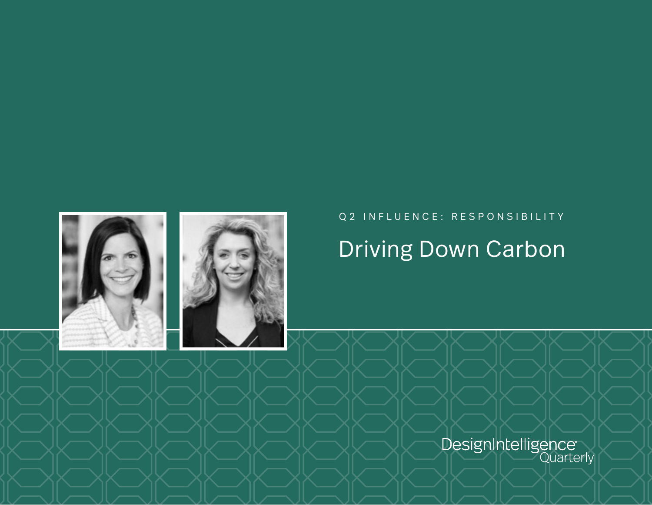

## Q2 INFLUENCE: RESPONSIBILITY Driving Down Carbon

DesignIntelligence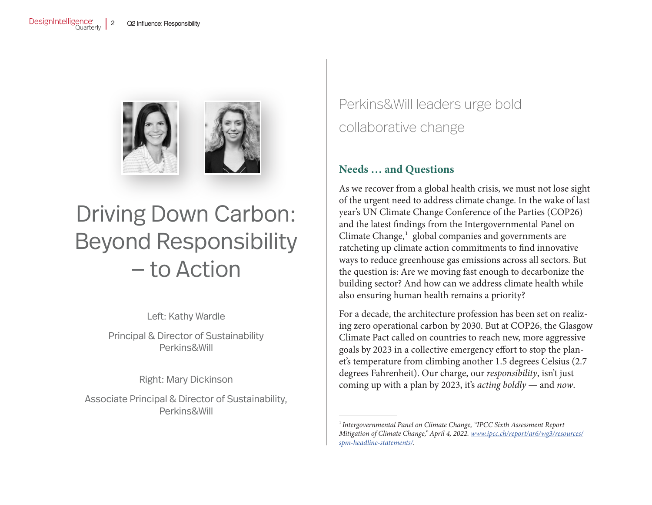

# Driving Down Carbon: Beyond Responsibility — to Action

Left: Kathy Wardle

Principal & Director of Sustainability Perkins&Will

Right: Mary Dickinson

Associate Principal & Director of Sustainability, Perkins&Will

Perkins&Will leaders urge bold collaborative change

### **Needs … and Questions**

As we recover from a global health crisis, we must not lose sight of the urgent need to address climate change. In the wake of last year's UN Climate Change Conference of the Parties (COP26) and the latest findings from the Intergovernmental Panel on Climate Change, $<sup>1</sup>$  global companies and governments are</sup> ratcheting up climate action commitments to find innovative ways to reduce greenhouse gas emissions across all sectors. But the question is: Are we moving fast enough to decarbonize the building sector? And how can we address climate health while also ensuring human health remains a priority?

For a decade, the architecture profession has been set on realizing zero operational carbon by 2030. But at COP26, the Glasgow Climate Pact called on countries to reach new, more aggressive goals by 2023 in a collective emergency effort to stop the planet's temperature from climbing another 1.5 degrees Celsius (2.7 degrees Fahrenheit). Our charge, our *responsibility*, isn't just coming up with a plan by 2023, it's *acting boldly* — and *now*.

<sup>1</sup>*Intergovernmental Panel on Climate Change, "IPCC Sixth Assessment Report Mitigation of Climate Change," April 4, 2022. [www.ipcc.ch/report/ar6/wg3/resources/](http://www.ipcc.ch/report/ar6/wg3/resources/spm-headline-statements/) [spm-headline-statements/.](http://www.ipcc.ch/report/ar6/wg3/resources/spm-headline-statements/)*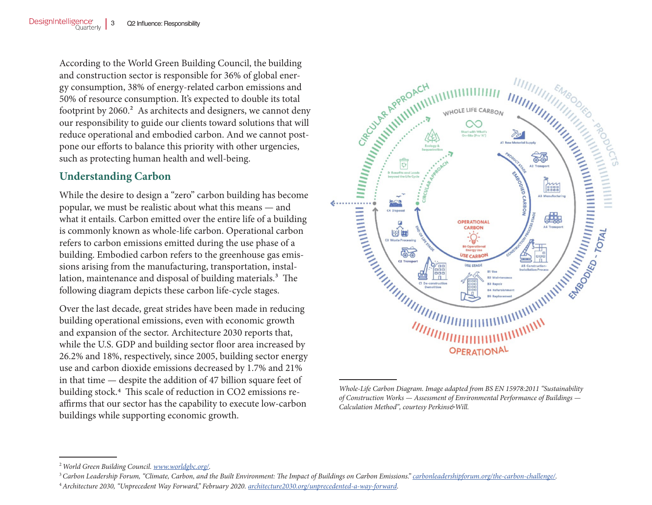According to the World Green Building Council, the building and construction sector is responsible for 36% of global energy consumption, 38% of energy-related carbon emissions and 50% of resource consumption. It's expected to double its total footprint by  $2060<sup>2</sup>$ . As architects and designers, we cannot deny our responsibility to guide our clients toward solutions that will reduce operational and embodied carbon. And we cannot postpone our efforts to balance this priority with other urgencies, such as protecting human health and well-being.

### **Understanding Carbon**

While the desire to design a "zero" carbon building has become popular, we must be realistic about what this means — and what it entails. Carbon emitted over the entire life of a building is commonly known as whole-life carbon. Operational carbon refers to carbon emissions emitted during the use phase of a building. Embodied carbon refers to the greenhouse gas emissions arising from the manufacturing, transportation, installation, maintenance and disposal of building materials.<sup>3</sup> The following diagram depicts these carbon life-cycle stages.

Over the last decade, great strides have been made in reducing building operational emissions, even with economic growth and expansion of the sector. Architecture 2030 reports that, while the U.S. GDP and building sector floor area increased by 26.2% and 18%, respectively, since 2005, building sector energy use and carbon dioxide emissions decreased by 1.7% and 21% in that time — despite the addition of 47 billion square feet of building stock.4 This scale of reduction in CO2 emissions reaffirms that our sector has the capability to execute low-carbon buildings while supporting economic growth.



*Whole-Life Carbon Diagram. Image adapted from BS EN 15978:2011 "Sustainability of Construction Works — Assessment of Environmental Performance of Buildings — Calculation Method", courtesy Perkins&Will.*

<sup>2</sup>*World Green Building Council. [www.worldgbc.org/.](http://www.worldgbc.org/)*

<sup>3</sup>*Carbon Leadership Forum, "Climate, Carbon, and the Built Environment: The Impact of Buildings on Carbon Emissions." [carbonleadershipforum.org/the-carbon-challenge/.](http://carbonleadershipforum.org/the-carbon-challenge/)*

<sup>4</sup>*Architecture 2030, "Unprecedent Way Forward," February 2020. [architecture2030.org/unprecedented-a-way-forward](http://architecture2030.org/unprecedented-a-way-forward).*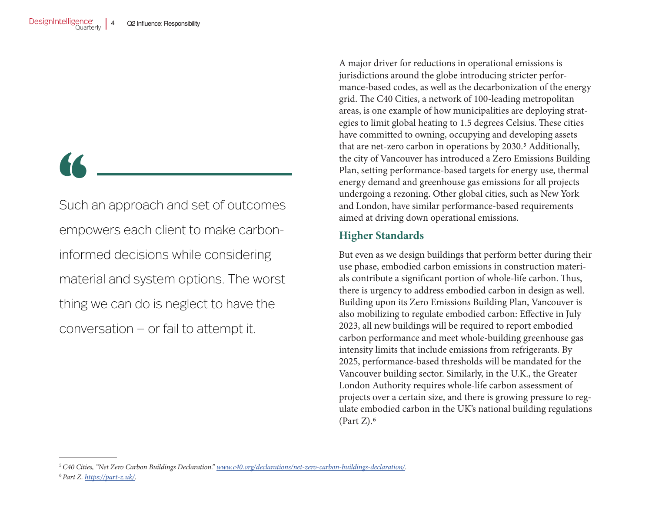66

Such an approach and set of outcomes empowers each client to make carboninformed decisions while considering material and system options. The worst thing we can do is neglect to have the conversation — or fail to attempt it.

A major driver for reductions in operational emissions is jurisdictions around the globe introducing stricter performance-based codes, as well as the decarbonization of the energy grid. The C40 Cities, a network of 100-leading metropolitan areas, is one example of how municipalities are deploying strategies to limit global heating to 1.5 degrees Celsius. These cities have committed to owning, occupying and developing assets that are net-zero carbon in operations by 2030.<sup>5</sup> Additionally, the city of Vancouver has introduced a Zero Emissions Building Plan, setting performance-based targets for energy use, thermal energy demand and greenhouse gas emissions for all projects undergoing a rezoning. Other global cities, such as New York and London, have similar performance-based requirements aimed at driving down operational emissions.

#### **Higher Standards**

But even as we design buildings that perform better during their use phase, embodied carbon emissions in construction materials contribute a significant portion of whole-life carbon. Thus, there is urgency to address embodied carbon in design as well. Building upon its Zero Emissions Building Plan, Vancouver is also mobilizing to regulate embodied carbon: Effective in July 2023, all new buildings will be required to report embodied carbon performance and meet whole-building greenhouse gas intensity limits that include emissions from refrigerants. By 2025, performance-based thresholds will be mandated for the Vancouver building sector. Similarly, in the U.K., the Greater London Authority requires whole-life carbon assessment of projects over a certain size, and there is growing pressure to regulate embodied carbon in the UK's national building regulations (Part  $Z$ ).<sup>6</sup>

<sup>5</sup>*C40 Cities, "Net Zero Carbon Buildings Declaration." [www.c40.org/declarations/net-zero-carbon-buildings-declaration/](http://www.c40.org/declarations/net-zero-carbon-buildings-declaration/).* <sup>6</sup>*Part Z. [https://part-z.uk/.](https://part-z.uk/)*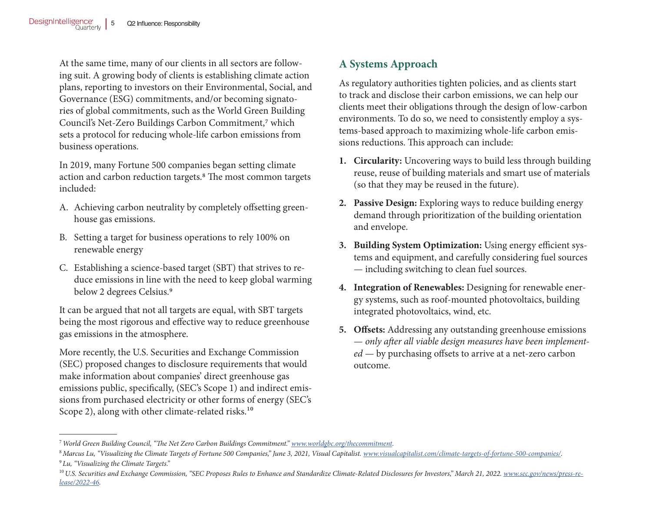At the same time, many of our clients in all sectors are following suit. A growing body of clients is establishing climate action plans, reporting to investors on their Environmental, Social, and Governance (ESG) commitments, and/or becoming signatories of global commitments, such as the World Green Building Council's Net-Zero Buildings Carbon Commitment,7 which sets a protocol for reducing whole-life carbon emissions from business operations.

In 2019, many Fortune 500 companies began setting climate action and carbon reduction targets.<sup>8</sup> The most common targets included:

- A. Achieving carbon neutrality by completely offsetting greenhouse gas emissions.
- B. Setting a target for business operations to rely 100% on renewable energy
- C. Establishing a science-based target (SBT) that strives to reduce emissions in line with the need to keep global warming below 2 degrees Celsius.<sup>9</sup>

It can be argued that not all targets are equal, with SBT targets being the most rigorous and effective way to reduce greenhouse gas emissions in the atmosphere.

More recently, the U.S. Securities and Exchange Commission (SEC) proposed changes to disclosure requirements that would make information about companies' direct greenhouse gas emissions public, specifically, (SEC's Scope 1) and indirect emissions from purchased electricity or other forms of energy (SEC's Scope 2), along with other climate-related risks.<sup>10</sup>

## **A Systems Approach**

As regulatory authorities tighten policies, and as clients start to track and disclose their carbon emissions, we can help our clients meet their obligations through the design of low-carbon environments. To do so, we need to consistently employ a systems-based approach to maximizing whole-life carbon emissions reductions. This approach can include:

- **1. Circularity:** Uncovering ways to build less through building reuse, reuse of building materials and smart use of materials (so that they may be reused in the future).
- **2. Passive Design:** Exploring ways to reduce building energy demand through prioritization of the building orientation and envelope.
- **3. Building System Optimization:** Using energy efficient systems and equipment, and carefully considering fuel sources — including switching to clean fuel sources.
- **4. Integration of Renewables:** Designing for renewable energy systems, such as roof-mounted photovoltaics, building integrated photovoltaics, wind, etc.
- **5. Offsets:** Addressing any outstanding greenhouse emissions — *only after all viable design measures have been implemented* — by purchasing offsets to arrive at a net-zero carbon outcome.

<sup>7</sup>*World Green Building Council, "The Net Zero Carbon Buildings Commitment." [www.worldgbc.org/thecommitment](http://www.worldgbc.org/thecommitment).*

<sup>8</sup>*Marcus Lu, "Visualizing the Climate Targets of Fortune 500 Companies," June 3, 2021, Visual Capitalist. [www.visualcapitalist.com/climate-targets-of-fortune-500-companies/](http://www.visualcapitalist.com/climate-targets-of-fortune-500-companies/).* <sup>9</sup>*Lu, "Visualizing the Climate Targets."*

<sup>&</sup>lt;sup>10</sup> U.S. Securities and Exchange Commission, "SEC Proposes Rules to Enhance and Standardize Climate-Related Disclosures for Investors," March 21, 2022. *[www.sec.gov/news/press-re](http://www.sec.gov/news/press-release/2022-46)[lease/2022-46](http://www.sec.gov/news/press-release/2022-46).*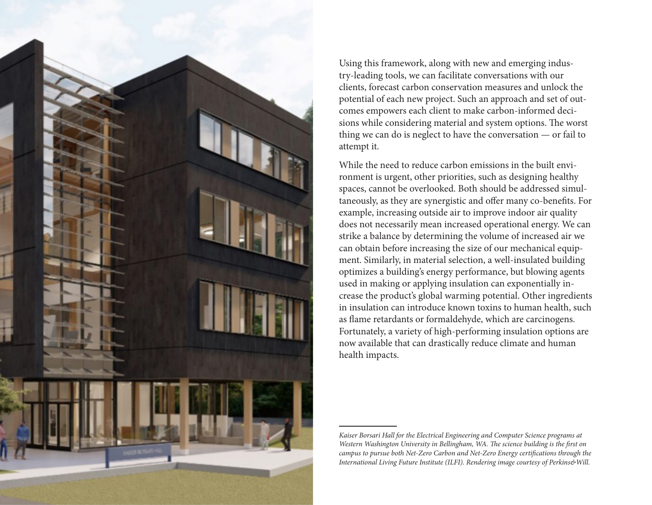

Using this framework, along with new and emerging industry-leading tools, we can facilitate conversations with our clients, forecast carbon conservation measures and unlock the potential of each new project. Such an approach and set of outcomes empowers each client to make carbon-informed decisions while considering material and system options. The worst thing we can do is neglect to have the conversation — or fail to attempt it.

While the need to reduce carbon emissions in the built environment is urgent, other priorities, such as designing healthy spaces, cannot be overlooked. Both should be addressed simultaneously, as they are synergistic and offer many co-benefits. For example, increasing outside air to improve indoor air quality does not necessarily mean increased operational energy. We can strike a balance by determining the volume of increased air we can obtain before increasing the size of our mechanical equipment. Similarly, in material selection, a well-insulated building optimizes a building's energy performance, but blowing agents used in making or applying insulation can exponentially increase the product's global warming potential. Other ingredients in insulation can introduce known toxins to human health, such as flame retardants or formaldehyde, which are carcinogens. Fortunately, a variety of high-performing insulation options are now available that can drastically reduce climate and human health impacts.

*Kaiser Borsari Hall for the Electrical Engineering and Computer Science programs at Western Washington University in Bellingham, WA. The science building is the first on campus to pursue both Net-Zero Carbon and Net-Zero Energy certifications through the International Living Future Institute (ILFI). Rendering image courtesy of Perkins&Will.*